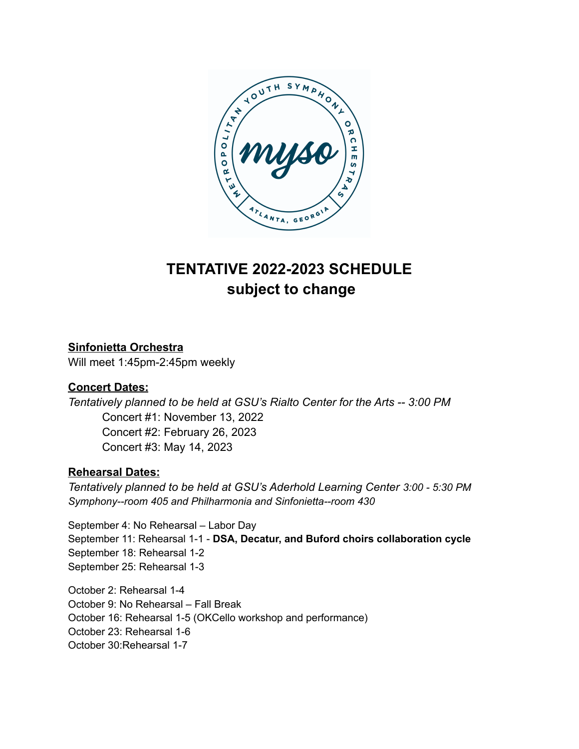

# **TENTATIVE 2022-2023 SCHEDULE subject to change**

## **Sinfonietta Orchestra**

Will meet 1:45pm-2:45pm weekly

### **Concert Dates:**

*Tentatively planned to be held at GSU's Rialto Center for the Arts -- 3:00 PM* Concert #1: November 13, 2022 Concert #2: February 26, 2023 Concert #3: May 14, 2023

### **Rehearsal Dates:**

*Tentatively planned to be held at GSU's Aderhold Learning Center 3:00 - 5:30 PM Symphony--room 405 and Philharmonia and Sinfonietta--room 430*

September 4: No Rehearsal – Labor Day September 11: Rehearsal 1-1 - **DSA, Decatur, and Buford choirs collaboration cycle** September 18: Rehearsal 1-2 September 25: Rehearsal 1-3

October 2: Rehearsal 1-4 October 9: No Rehearsal – Fall Break October 16: Rehearsal 1-5 (OKCello workshop and performance) October 23: Rehearsal 1-6 October 30:Rehearsal 1-7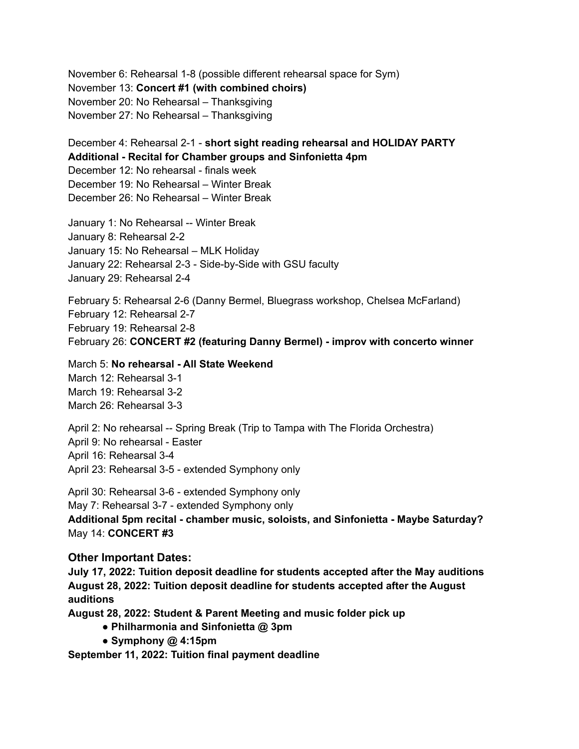November 6: Rehearsal 1-8 (possible different rehearsal space for Sym) November 13: **Concert #1 (with combined choirs)** November 20: No Rehearsal – Thanksgiving November 27: No Rehearsal – Thanksgiving

December 4: Rehearsal 2-1 - **short sight reading rehearsal and HOLIDAY PARTY Additional - Recital for Chamber groups and Sinfonietta 4pm** December 12: No rehearsal - finals week December 19: No Rehearsal – Winter Break December 26: No Rehearsal – Winter Break

January 1: No Rehearsal -- Winter Break January 8: Rehearsal 2-2 January 15: No Rehearsal – MLK Holiday January 22: Rehearsal 2-3 - Side-by-Side with GSU faculty January 29: Rehearsal 2-4

February 5: Rehearsal 2-6 (Danny Bermel, Bluegrass workshop, Chelsea McFarland) February 12: Rehearsal 2-7 February 19: Rehearsal 2-8 February 26: **CONCERT #2 (featuring Danny Bermel) - improv with concerto winner**

March 5: **No rehearsal - All State Weekend** March 12: Rehearsal 3-1 March 19: Rehearsal 3-2 March 26: Rehearsal 3-3

April 2: No rehearsal -- Spring Break (Trip to Tampa with The Florida Orchestra) April 9: No rehearsal - Easter April 16: Rehearsal 3-4 April 23: Rehearsal 3-5 - extended Symphony only

April 30: Rehearsal 3-6 - extended Symphony only May 7: Rehearsal 3-7 - extended Symphony only **Additional 5pm recital - chamber music, soloists, and Sinfonietta - Maybe Saturday?** May 14: **CONCERT #3**

#### **Other Important Dates:**

**July 17, 2022: Tuition deposit deadline for students accepted after the May auditions August 28, 2022: Tuition deposit deadline for students accepted after the August auditions**

**August 28, 2022: Student & Parent Meeting and music folder pick up**

- **● Philharmonia and Sinfonietta @ 3pm**
- **● Symphony @ 4:15pm**

**September 11, 2022: Tuition final payment deadline**